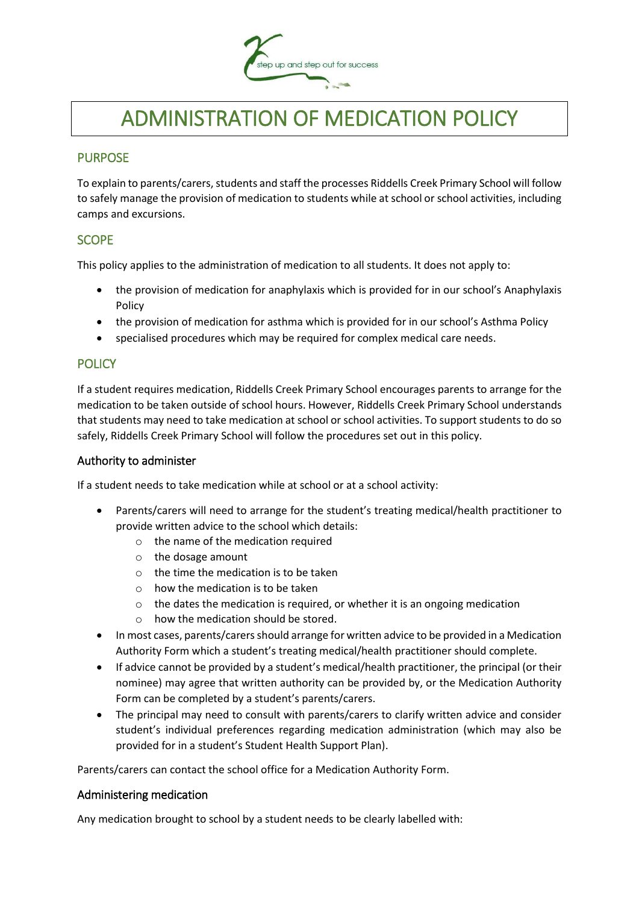

# ADMINISTRATION OF MEDICATION POLICY

## PURPOSE

To explain to parents/carers, students and staff the processes Riddells Creek Primary School will follow to safely manage the provision of medication to students while at school or school activities, including camps and excursions.

## **SCOPE**

This policy applies to the administration of medication to all students. It does not apply to:

- the provision of medication for anaphylaxis which is provided for in our school's Anaphylaxis Policy
- the provision of medication for asthma which is provided for in our school's Asthma Policy
- specialised procedures which may be required for complex medical care needs.

## **POLICY**

If a student requires medication, Riddells Creek Primary School encourages parents to arrange for the medication to be taken outside of school hours. However, Riddells Creek Primary School understands that students may need to take medication at school or school activities. To support students to do so safely, Riddells Creek Primary School will follow the procedures set out in this policy.

#### Authority to administer

If a student needs to take medication while at school or at a school activity:

- Parents/carers will need to arrange for the student's treating medical/health practitioner to provide written advice to the school which details:
	- $\circ$  the name of the medication required
	- o the dosage amount
	- $\circ$  the time the medication is to be taken
	- $\circ$  how the medication is to be taken
	- o the dates the medication is required, or whether it is an ongoing medication
	- o how the medication should be stored.
- In most cases, parents/carers should arrange for written advice to be provided in a Medication Authority Form which a student's treating medical/health practitioner should complete.
- If advice cannot be provided by a student's medical/health practitioner, the principal (or their nominee) may agree that written authority can be provided by, or the Medication Authority Form can be completed by a student's parents/carers.
- The principal may need to consult with parents/carers to clarify written advice and consider student's individual preferences regarding medication administration (which may also be provided for in a student's Student Health Support Plan).

Parents/carers can contact the school office for a Medication Authority Form.

#### Administering medication

Any medication brought to school by a student needs to be clearly labelled with: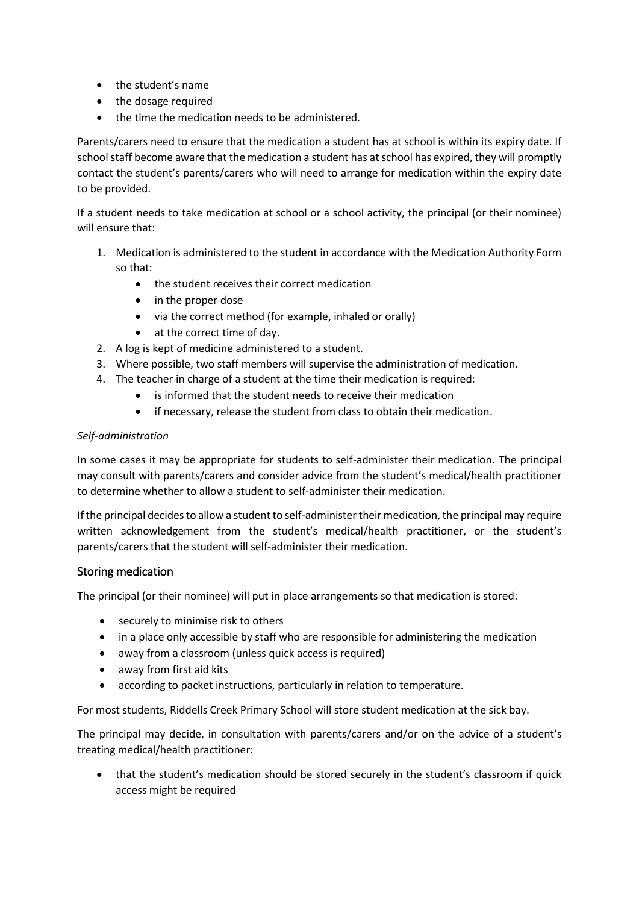- the student's name
- the dosage required
- the time the medication needs to be administered.

Parents/carers need to ensure that the medication a student has at school is within its expiry date. If school staff become aware that the medication a student has at school has expired, they will promptly contact the student's parents/carers who will need to arrange for medication within the expiry date to be provided.

If a student needs to take medication at school or a school activity, the principal (or their nominee) will ensure that:

- 1. Medication is administered to the student in accordance with the Medication Authority Form so that:
	- the student receives their correct medication
	- in the proper dose
	- via the correct method (for example, inhaled or orally)
	- at the correct time of day.
- 2. A log is kept of medicine administered to a student.
- 3. Where possible, two staff members will supervise the administration of medication.
- 4. The teacher in charge of a student at the time their medication is required:
	- is informed that the student needs to receive their medication
	- if necessary, release the student from class to obtain their medication.

#### *Self-administration*

In some cases it may be appropriate for students to self-administer their medication. The principal may consult with parents/carers and consider advice from the student's medical/health practitioner to determine whether to allow a student to self-administer their medication.

If the principal decides to allow a student to self-administer their medication, the principal may require written acknowledgement from the student's medical/health practitioner, or the student's parents/carers that the student will self-administer their medication.

#### Storing medication

The principal (or their nominee) will put in place arrangements so that medication is stored:

- securely to minimise risk to others
- in a place only accessible by staff who are responsible for administering the medication
- away from a classroom (unless quick access is required)
- away from first aid kits
- according to packet instructions, particularly in relation to temperature.

For most students, Riddells Creek Primary School will store student medication at the sick bay.

The principal may decide, in consultation with parents/carers and/or on the advice of a student's treating medical/health practitioner:

 that the student's medication should be stored securely in the student's classroom if quick access might be required